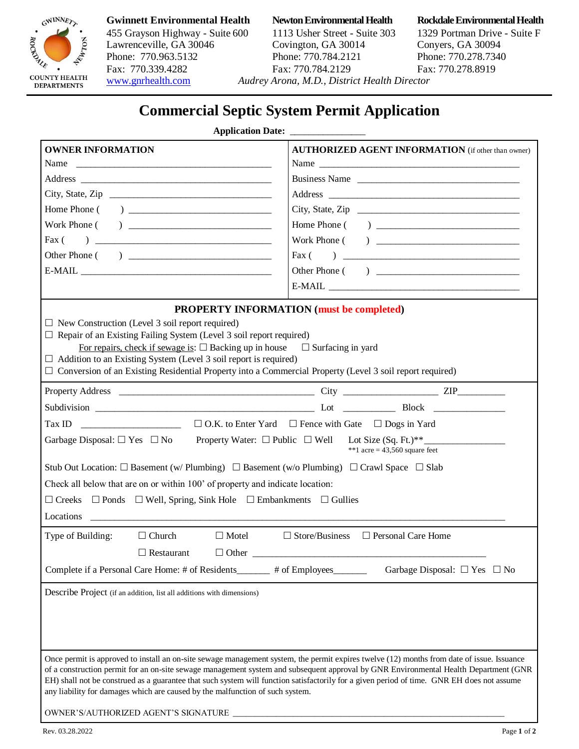

# 455 Grayson Highway - Suite 600 1113 Usher Street - Suite 303 1329 Portman Drive - Suite F Lawrenceville, GA 30046 Covington, GA 30014 Conyers, GA 30094<br>
Phone: 770.963.5132 Phone: 770.784.2121 Phone: 770.278.734 Fax: 770.339.4282 Fax: 770.784.2129 [www.gnrhealth.com](http://www.gnrhealth.com/) *Audrey Arona, M.D., District Health Director*

Phone: 770.784.2121 Phone: 770.278.7340<br>Fax: 770.784.2129 Fax: 770.278.8919

**Gwinnett Environmental Health Newton Environmental Health Rockdale Environmental Health**

# **Commercial Septic System Permit Application**

### **Application Date:**

| <b>OWNER INFORMATION</b>                                                                                                                                                                   | <b>AUTHORIZED AGENT INFORMATION</b> (if other than owner) |
|--------------------------------------------------------------------------------------------------------------------------------------------------------------------------------------------|-----------------------------------------------------------|
| Name                                                                                                                                                                                       | Name                                                      |
|                                                                                                                                                                                            | Business Name                                             |
|                                                                                                                                                                                            |                                                           |
|                                                                                                                                                                                            |                                                           |
|                                                                                                                                                                                            |                                                           |
| Fax $($                                                                                                                                                                                    |                                                           |
|                                                                                                                                                                                            |                                                           |
|                                                                                                                                                                                            |                                                           |
|                                                                                                                                                                                            |                                                           |
| PROPERTY INFORMATION (must be completed)                                                                                                                                                   |                                                           |
| $\Box$ New Construction (Level 3 soil report required)                                                                                                                                     |                                                           |
| $\Box$ Repair of an Existing Failing System (Level 3 soil report required)                                                                                                                 |                                                           |
| For repairs, check if sewage is: $\square$ Backing up in house $\square$ Surfacing in yard                                                                                                 |                                                           |
| $\Box$ Addition to an Existing System (Level 3 soil report is required)<br>$\Box$ Conversion of an Existing Residential Property into a Commercial Property (Level 3 soil report required) |                                                           |
|                                                                                                                                                                                            |                                                           |
|                                                                                                                                                                                            |                                                           |
|                                                                                                                                                                                            |                                                           |
|                                                                                                                                                                                            |                                                           |
| Garbage Disposal: $\Box$ Yes $\Box$ No Property Water: $\Box$ Public $\Box$ Well Lot Size (Sq. Ft.)**<br>**1 acre = $43,560$ square feet                                                   |                                                           |
| Stub Out Location: $\square$ Basement (w/ Plumbing) $\square$ Basement (w/o Plumbing) $\square$ Crawl Space $\square$ Slab                                                                 |                                                           |
| Check all below that are on or within 100' of property and indicate location:                                                                                                              |                                                           |
| $\Box$ Creeks $\Box$ Ponds $\Box$ Well, Spring, Sink Hole $\Box$ Embankments $\Box$ Gullies                                                                                                |                                                           |
|                                                                                                                                                                                            |                                                           |
|                                                                                                                                                                                            |                                                           |
| Type of Building:<br>$\Box$ Motel<br>$\Box$ Church                                                                                                                                         | $\Box$ Store/Business $\Box$ Personal Care Home           |
| $\Box$ Restaurant                                                                                                                                                                          |                                                           |
| Complete if a Personal Care Home: # of Residents_______                                                                                                                                    | # of Employees_<br>Garbage Disposal: $\Box$ Yes $\Box$ No |
| Describe Project (if an addition, list all additions with dimensions)                                                                                                                      |                                                           |
|                                                                                                                                                                                            |                                                           |
|                                                                                                                                                                                            |                                                           |
|                                                                                                                                                                                            |                                                           |
| Once permit is approved to install an on-site sewage management system, the permit expires twelve (12) months from date of issue. Issuance                                                 |                                                           |
| of a construction permit for an on-site sewage management system and subsequent approval by GNR Environmental Health Department (GNR                                                       |                                                           |
| EH) shall not be construed as a guarantee that such system will function satisfactorily for a given period of time. GNR EH does not assume                                                 |                                                           |
| any liability for damages which are caused by the malfunction of such system.                                                                                                              |                                                           |
| OWNER'S/AUTHORIZED AGENT'S SIGNATURE                                                                                                                                                       |                                                           |